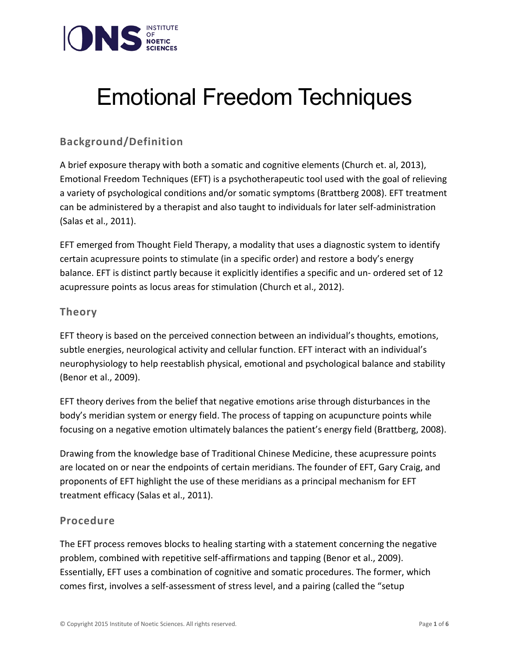

# Emotional Freedom Techniques

# **Background/Definition**

A brief exposure therapy with both a somatic and cognitive elements (Church et. al, 2013), Emotional Freedom Techniques (EFT) is a psychotherapeutic tool used with the goal of relieving a variety of psychological conditions and/or somatic symptoms (Brattberg 2008). EFT treatment can be administered by a therapist and also taught to individuals for later self-administration (Salas et al., 2011).

EFT emerged from Thought Field Therapy, a modality that uses a diagnostic system to identify certain acupressure points to stimulate (in a specific order) and restore a body's energy balance. EFT is distinct partly because it explicitly identifies a specific and un- ordered set of 12 acupressure points as locus areas for stimulation (Church et al., 2012).

## **Theory**

EFT theory is based on the perceived connection between an individual's thoughts, emotions, subtle energies, neurological activity and cellular function. EFT interact with an individual's neurophysiology to help reestablish physical, emotional and psychological balance and stability (Benor et al., 2009).

EFT theory derives from the belief that negative emotions arise through disturbances in the body's meridian system or energy field. The process of tapping on acupuncture points while focusing on a negative emotion ultimately balances the patient's energy field (Brattberg, 2008).

Drawing from the knowledge base of Traditional Chinese Medicine, these acupressure points are located on or near the endpoints of certain meridians. The founder of EFT, Gary Craig, and proponents of EFT highlight the use of these meridians as a principal mechanism for EFT treatment efficacy (Salas et al., 2011).

#### **Procedure**

The EFT process removes blocks to healing starting with a statement concerning the negative problem, combined with repetitive self-affirmations and tapping (Benor et al., 2009). Essentially, EFT uses a combination of cognitive and somatic procedures. The former, which comes first, involves a self-assessment of stress level, and a pairing (called the "setup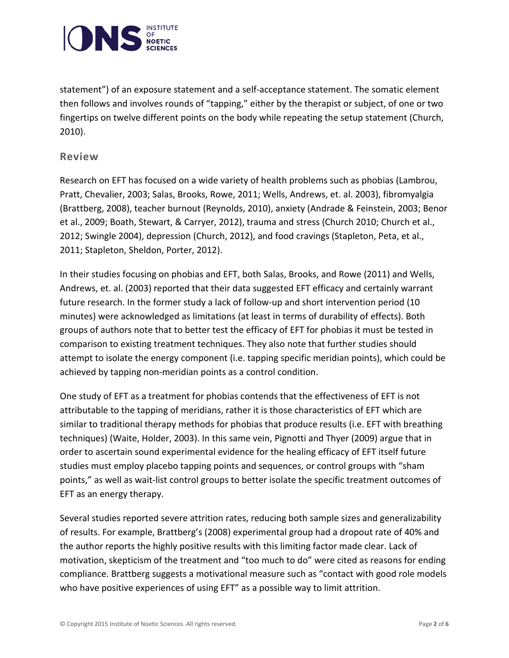

statement") of an exposure statement and a self-acceptance statement. The somatic element then follows and involves rounds of "tapping," either by the therapist or subject, of one or two fingertips on twelve different points on the body while repeating the setup statement (Church, 2010).

#### **Review**

Research on EFT has focused on a wide variety of health problems such as phobias (Lambrou, Pratt, Chevalier, 2003; Salas, Brooks, Rowe, 2011; Wells, Andrews, et. al. 2003), fibromyalgia (Brattberg, 2008), teacher burnout (Reynolds, 2010), anxiety (Andrade & Feinstein, 2003; Benor et al., 2009; Boath, Stewart, & Carryer, 2012), trauma and stress (Church 2010; Church et al., 2012; Swingle 2004), depression (Church, 2012), and food cravings (Stapleton, Peta, et al., 2011; Stapleton, Sheldon, Porter, 2012).

In their studies focusing on phobias and EFT, both Salas, Brooks, and Rowe (2011) and Wells, Andrews, et. al. (2003) reported that their data suggested EFT efficacy and certainly warrant future research. In the former study a lack of follow-up and short intervention period (10 minutes) were acknowledged as limitations (at least in terms of durability of effects). Both groups of authors note that to better test the efficacy of EFT for phobias it must be tested in comparison to existing treatment techniques. They also note that further studies should attempt to isolate the energy component (i.e. tapping specific meridian points), which could be achieved by tapping non-meridian points as a control condition.

One study of EFT as a treatment for phobias contends that the effectiveness of EFT is not attributable to the tapping of meridians, rather it is those characteristics of EFT which are similar to traditional therapy methods for phobias that produce results (i.e. EFT with breathing techniques) (Waite, Holder, 2003). In this same vein, Pignotti and Thyer (2009) argue that in order to ascertain sound experimental evidence for the healing efficacy of EFT itself future studies must employ placebo tapping points and sequences, or control groups with "sham points," as well as wait-list control groups to better isolate the specific treatment outcomes of EFT as an energy therapy.

Several studies reported severe attrition rates, reducing both sample sizes and generalizability of results. For example, Brattberg's (2008) experimental group had a dropout rate of 40% and the author reports the highly positive results with this limiting factor made clear. Lack of motivation, skepticism of the treatment and "too much to do" were cited as reasons for ending compliance. Brattberg suggests a motivational measure such as "contact with good role models who have positive experiences of using EFT" as a possible way to limit attrition.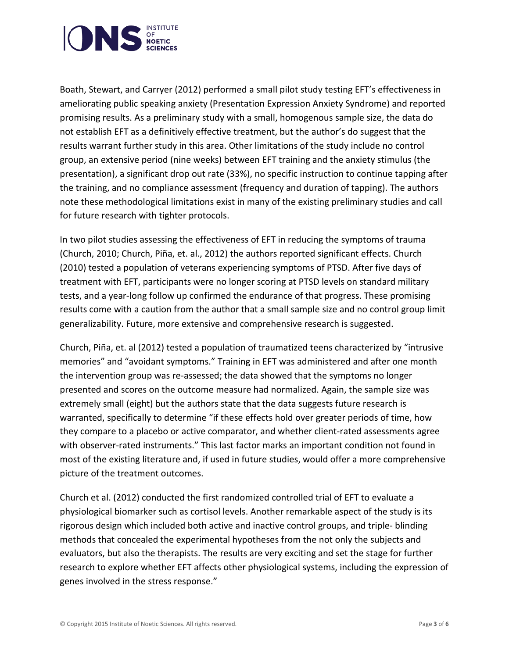

Boath, Stewart, and Carryer (2012) performed a small pilot study testing EFT's effectiveness in ameliorating public speaking anxiety (Presentation Expression Anxiety Syndrome) and reported promising results. As a preliminary study with a small, homogenous sample size, the data do not establish EFT as a definitively effective treatment, but the author's do suggest that the results warrant further study in this area. Other limitations of the study include no control group, an extensive period (nine weeks) between EFT training and the anxiety stimulus (the presentation), a significant drop out rate (33%), no specific instruction to continue tapping after the training, and no compliance assessment (frequency and duration of tapping). The authors note these methodological limitations exist in many of the existing preliminary studies and call for future research with tighter protocols.

In two pilot studies assessing the effectiveness of EFT in reducing the symptoms of trauma (Church, 2010; Church, Piña, et. al., 2012) the authors reported significant effects. Church (2010) tested a population of veterans experiencing symptoms of PTSD. After five days of treatment with EFT, participants were no longer scoring at PTSD levels on standard military tests, and a year-long follow up confirmed the endurance of that progress. These promising results come with a caution from the author that a small sample size and no control group limit generalizability. Future, more extensive and comprehensive research is suggested.

Church, Piña, et. al (2012) tested a population of traumatized teens characterized by "intrusive memories" and "avoidant symptoms." Training in EFT was administered and after one month the intervention group was re-assessed; the data showed that the symptoms no longer presented and scores on the outcome measure had normalized. Again, the sample size was extremely small (eight) but the authors state that the data suggests future research is warranted, specifically to determine "if these effects hold over greater periods of time, how they compare to a placebo or active comparator, and whether client-rated assessments agree with observer-rated instruments." This last factor marks an important condition not found in most of the existing literature and, if used in future studies, would offer a more comprehensive picture of the treatment outcomes.

Church et al. (2012) conducted the first randomized controlled trial of EFT to evaluate a physiological biomarker such as cortisol levels. Another remarkable aspect of the study is its rigorous design which included both active and inactive control groups, and triple- blinding methods that concealed the experimental hypotheses from the not only the subjects and evaluators, but also the therapists. The results are very exciting and set the stage for further research to explore whether EFT affects other physiological systems, including the expression of genes involved in the stress response."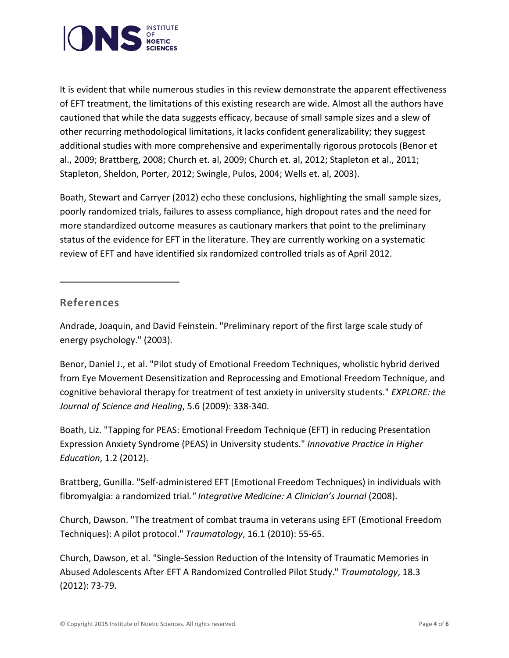

It is evident that while numerous studies in this review demonstrate the apparent effectiveness of EFT treatment, the limitations of this existing research are wide. Almost all the authors have cautioned that while the data suggests efficacy, because of small sample sizes and a slew of other recurring methodological limitations, it lacks confident generalizability; they suggest additional studies with more comprehensive and experimentally rigorous protocols (Benor et al., 2009; Brattberg, 2008; Church et. al, 2009; Church et. al, 2012; Stapleton et al., 2011; Stapleton, Sheldon, Porter, 2012; Swingle, Pulos, 2004; Wells et. al, 2003).

Boath, Stewart and Carryer (2012) echo these conclusions, highlighting the small sample sizes, poorly randomized trials, failures to assess compliance, high dropout rates and the need for more standardized outcome measures as cautionary markers that point to the preliminary status of the evidence for EFT in the literature. They are currently working on a systematic review of EFT and have identified six randomized controlled trials as of April 2012.

## **References**

Andrade, Joaquin, and David Feinstein. "Preliminary report of the first large scale study of energy psychology." (2003).

Benor, Daniel J., et al. "Pilot study of Emotional Freedom Techniques, wholistic hybrid derived from Eye Movement Desensitization and Reprocessing and Emotional Freedom Technique, and cognitive behavioral therapy for treatment of test anxiety in university students." *EXPLORE: the Journal of Science and Healing*, 5.6 (2009): 338-340.

Boath, Liz. "Tapping for PEAS: Emotional Freedom Technique (EFT) in reducing Presentation Expression Anxiety Syndrome (PEAS) in University students." *Innovative Practice in Higher Education*, 1.2 (2012).

Brattberg, Gunilla. "Self-administered EFT (Emotional Freedom Techniques) in individuals with fibromyalgia: a randomized trial*." Integrative Medicine: A Clinician's Journal* (2008).

Church, Dawson. "The treatment of combat trauma in veterans using EFT (Emotional Freedom Techniques): A pilot protocol." *Traumatology*, 16.1 (2010): 55-65.

Church, Dawson, et al. "Single-Session Reduction of the Intensity of Traumatic Memories in Abused Adolescents After EFT A Randomized Controlled Pilot Study." *Traumatology*, 18.3 (2012): 73-79.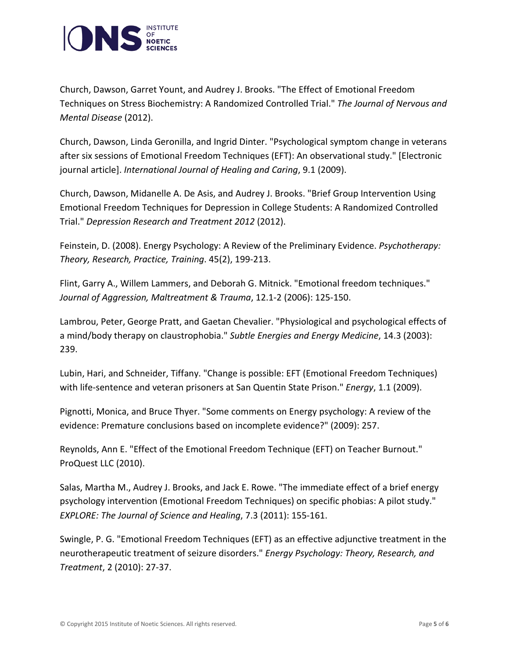

Church, Dawson, Garret Yount, and Audrey J. Brooks. "The Effect of Emotional Freedom Techniques on Stress Biochemistry: A Randomized Controlled Trial." *The Journal of Nervous and Mental Disease* (2012).

Church, Dawson, Linda Geronilla, and Ingrid Dinter. "Psychological symptom change in veterans after six sessions of Emotional Freedom Techniques (EFT): An observational study." [Electronic journal article]. *International Journal of Healing and Caring*, 9.1 (2009).

Church, Dawson, Midanelle A. De Asis, and Audrey J. Brooks. "Brief Group Intervention Using Emotional Freedom Techniques for Depression in College Students: A Randomized Controlled Trial." *Depression Research and Treatment 2012* (2012).

Feinstein, D. (2008). Energy Psychology: A Review of the Preliminary Evidence. *Psychotherapy: Theory, Research, Practice, Training*. 45(2), 199-213.

Flint, Garry A., Willem Lammers, and Deborah G. Mitnick. "Emotional freedom techniques." *Journal of Aggression, Maltreatment & Trauma*, 12.1-2 (2006): 125-150.

Lambrou, Peter, George Pratt, and Gaetan Chevalier. "Physiological and psychological effects of a mind/body therapy on claustrophobia." *Subtle Energies and Energy Medicine*, 14.3 (2003): 239.

Lubin, Hari, and Schneider, Tiffany. "Change is possible: EFT (Emotional Freedom Techniques) with life-sentence and veteran prisoners at San Quentin State Prison." *Energy*, 1.1 (2009).

Pignotti, Monica, and Bruce Thyer. "Some comments on Energy psychology: A review of the evidence: Premature conclusions based on incomplete evidence?" (2009): 257.

Reynolds, Ann E. "Effect of the Emotional Freedom Technique (EFT) on Teacher Burnout." ProQuest LLC (2010).

Salas, Martha M., Audrey J. Brooks, and Jack E. Rowe. "The immediate effect of a brief energy psychology intervention (Emotional Freedom Techniques) on specific phobias: A pilot study." *EXPLORE: The Journal of Science and Healing*, 7.3 (2011): 155-161.

Swingle, P. G. "Emotional Freedom Techniques (EFT) as an effective adjunctive treatment in the neurotherapeutic treatment of seizure disorders." *Energy Psychology: Theory, Research, and Treatment*, 2 (2010): 27-37.